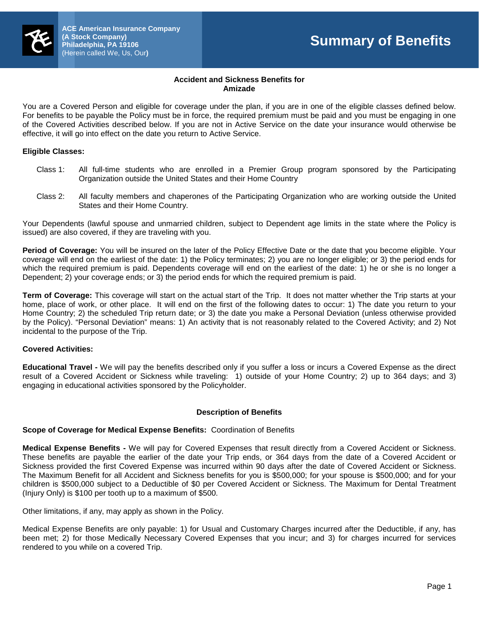# **Accident and Sickness Benefits for Amizade**

You are a Covered Person and eligible for coverage under the plan, if you are in one of the eligible classes defined below. For benefits to be payable the Policy must be in force, the required premium must be paid and you must be engaging in one of the Covered Activities described below. If you are not in Active Service on the date your insurance would otherwise be effective, it will go into effect on the date you return to Active Service.

#### **Eligible Classes:**

- Class 1: All full-time students who are enrolled in a Premier Group program sponsored by the Participating Organization outside the United States and their Home Country
- Class 2: All faculty members and chaperones of the Participating Organization who are working outside the United States and their Home Country.

Your Dependents (lawful spouse and unmarried children, subject to Dependent age limits in the state where the Policy is issued) are also covered, if they are traveling with you.

**Period of Coverage:** You will be insured on the later of the Policy Effective Date or the date that you become eligible. Your coverage will end on the earliest of the date: 1) the Policy terminates; 2) you are no longer eligible; or 3) the period ends for which the required premium is paid. Dependents coverage will end on the earliest of the date: 1) he or she is no longer a Dependent; 2) your coverage ends; or 3) the period ends for which the required premium is paid.

**Term of Coverage:** This coverage will start on the actual start of the Trip. It does not matter whether the Trip starts at your home, place of work, or other place. It will end on the first of the following dates to occur: 1) The date you return to your Home Country; 2) the scheduled Trip return date; or 3) the date you make a Personal Deviation (unless otherwise provided by the Policy). "Personal Deviation" means: 1) An activity that is not reasonably related to the Covered Activity; and 2) Not incidental to the purpose of the Trip.

#### **Covered Activities:**

**Educational Travel -** We will pay the benefits described only if you suffer a loss or incurs a Covered Expense as the direct result of a Covered Accident or Sickness while traveling: 1) outside of your Home Country; 2) up to 364 days; and 3) engaging in educational activities sponsored by the Policyholder.

#### **Description of Benefits**

# **Scope of Coverage for Medical Expense Benefits:** Coordination of Benefits

**Medical Expense Benefits -** We will pay for Covered Expenses that result directly from a Covered Accident or Sickness. These benefits are payable the earlier of the date your Trip ends, or 364 days from the date of a Covered Accident or Sickness provided the first Covered Expense was incurred within 90 days after the date of Covered Accident or Sickness. The Maximum Benefit for all Accident and Sickness benefits for you is \$500,000; for your spouse is \$500,000; and for your children is \$500,000 subject to a Deductible of \$0 per Covered Accident or Sickness. The Maximum for Dental Treatment (Injury Only) is \$100 per tooth up to a maximum of \$500.

Other limitations, if any, may apply as shown in the Policy.

Medical Expense Benefits are only payable: 1) for Usual and Customary Charges incurred after the Deductible, if any, has been met; 2) for those Medically Necessary Covered Expenses that you incur; and 3) for charges incurred for services rendered to you while on a covered Trip.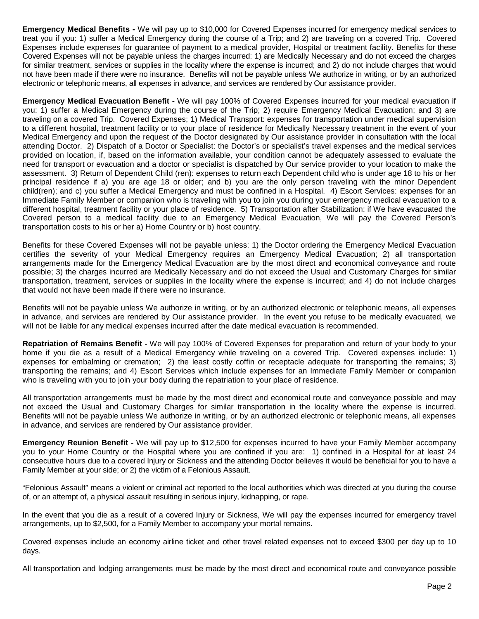**Emergency Medical Benefits -** We will pay up to \$10,000 for Covered Expenses incurred for emergency medical services to treat you if you: 1) suffer a Medical Emergency during the course of a Trip; and 2) are traveling on a covered Trip. Covered Expenses include expenses for guarantee of payment to a medical provider, Hospital or treatment facility. Benefits for these Covered Expenses will not be payable unless the charges incurred: 1) are Medically Necessary and do not exceed the charges for similar treatment, services or supplies in the locality where the expense is incurred; and 2) do not include charges that would not have been made if there were no insurance. Benefits will not be payable unless We authorize in writing, or by an authorized electronic or telephonic means, all expenses in advance, and services are rendered by Our assistance provider.

**Emergency Medical Evacuation Benefit -** We will pay 100% of Covered Expenses incurred for your medical evacuation if you: 1) suffer a Medical Emergency during the course of the Trip; 2) require Emergency Medical Evacuation; and 3) are traveling on a covered Trip. Covered Expenses; 1) Medical Transport: expenses for transportation under medical supervision to a different hospital, treatment facility or to your place of residence for Medically Necessary treatment in the event of your Medical Emergency and upon the request of the Doctor designated by Our assistance provider in consultation with the local attending Doctor. 2) Dispatch of a Doctor or Specialist: the Doctor's or specialist's travel expenses and the medical services provided on location, if, based on the information available, your condition cannot be adequately assessed to evaluate the need for transport or evacuation and a doctor or specialist is dispatched by Our service provider to your location to make the assessment. 3) Return of Dependent Child (ren): expenses to return each Dependent child who is under age 18 to his or her principal residence if a) you are age 18 or older; and b) you are the only person traveling with the minor Dependent child(ren); and c) you suffer a Medical Emergency and must be confined in a Hospital. 4) Escort Services: expenses for an Immediate Family Member or companion who is traveling with you to join you during your emergency medical evacuation to a different hospital, treatment facility or your place of residence. 5) Transportation after Stabilization: if We have evacuated the Covered person to a medical facility due to an Emergency Medical Evacuation, We will pay the Covered Person's transportation costs to his or her a) Home Country or b) host country.

Benefits for these Covered Expenses will not be payable unless: 1) the Doctor ordering the Emergency Medical Evacuation certifies the severity of your Medical Emergency requires an Emergency Medical Evacuation; 2) all transportation arrangements made for the Emergency Medical Evacuation are by the most direct and economical conveyance and route possible; 3) the charges incurred are Medically Necessary and do not exceed the Usual and Customary Charges for similar transportation, treatment, services or supplies in the locality where the expense is incurred; and 4) do not include charges that would not have been made if there were no insurance.

Benefits will not be payable unless We authorize in writing, or by an authorized electronic or telephonic means, all expenses in advance, and services are rendered by Our assistance provider. In the event you refuse to be medically evacuated, we will not be liable for any medical expenses incurred after the date medical evacuation is recommended.

**Repatriation of Remains Benefit -** We will pay 100% of Covered Expenses for preparation and return of your body to your home if you die as a result of a Medical Emergency while traveling on a covered Trip. Covered expenses include: 1) expenses for embalming or cremation; 2) the least costly coffin or receptacle adequate for transporting the remains; 3) transporting the remains; and 4) Escort Services which include expenses for an Immediate Family Member or companion who is traveling with you to join your body during the repatriation to your place of residence.

All transportation arrangements must be made by the most direct and economical route and conveyance possible and may not exceed the Usual and Customary Charges for similar transportation in the locality where the expense is incurred. Benefits will not be payable unless We authorize in writing, or by an authorized electronic or telephonic means, all expenses in advance, and services are rendered by Our assistance provider.

**Emergency Reunion Benefit -** We will pay up to \$12,500 for expenses incurred to have your Family Member accompany you to your Home Country or the Hospital where you are confined if you are: 1) confined in a Hospital for at least 24 consecutive hours due to a covered Injury or Sickness and the attending Doctor believes it would be beneficial for you to have a Family Member at your side; or 2) the victim of a Felonious Assault.

"Felonious Assault" means a violent or criminal act reported to the local authorities which was directed at you during the course of, or an attempt of, a physical assault resulting in serious injury, kidnapping, or rape.

In the event that you die as a result of a covered Injury or Sickness, We will pay the expenses incurred for emergency travel arrangements, up to \$2,500, for a Family Member to accompany your mortal remains.

Covered expenses include an economy airline ticket and other travel related expenses not to exceed \$300 per day up to 10 days.

All transportation and lodging arrangements must be made by the most direct and economical route and conveyance possible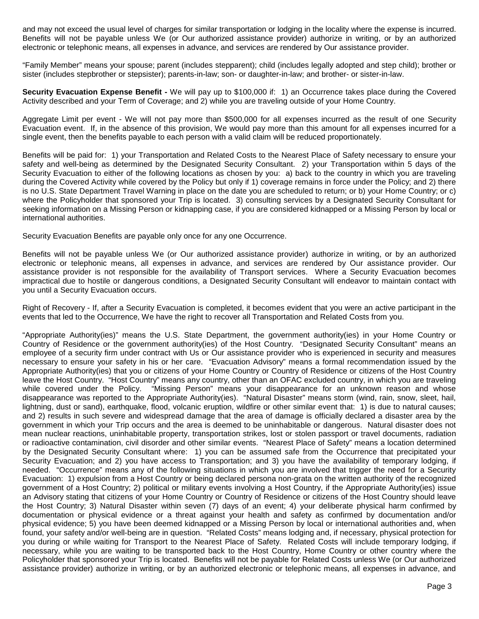and may not exceed the usual level of charges for similar transportation or lodging in the locality where the expense is incurred. Benefits will not be payable unless We (or Our authorized assistance provider) authorize in writing, or by an authorized electronic or telephonic means, all expenses in advance, and services are rendered by Our assistance provider.

"Family Member" means your spouse; parent (includes stepparent); child (includes legally adopted and step child); brother or sister (includes stepbrother or stepsister); parents-in-law; son- or daughter-in-law; and brother- or sister-in-law.

**Security Evacuation Expense Benefit -** We will pay up to \$100,000 if: 1) an Occurrence takes place during the Covered Activity described and your Term of Coverage; and 2) while you are traveling outside of your Home Country.

Aggregate Limit per event - We will not pay more than \$500,000 for all expenses incurred as the result of one Security Evacuation event. If, in the absence of this provision, We would pay more than this amount for all expenses incurred for a single event, then the benefits payable to each person with a valid claim will be reduced proportionately.

Benefits will be paid for: 1) your Transportation and Related Costs to the Nearest Place of Safety necessary to ensure your safety and well-being as determined by the Designated Security Consultant. 2) your Transportation within 5 days of the Security Evacuation to either of the following locations as chosen by you: a) back to the country in which you are traveling during the Covered Activity while covered by the Policy but only if 1) coverage remains in force under the Policy; and 2) there is no U.S. State Department Travel Warning in place on the date you are scheduled to return; or b) your Home Country; or c) where the Policyholder that sponsored your Trip is located. 3) consulting services by a Designated Security Consultant for seeking information on a Missing Person or kidnapping case, if you are considered kidnapped or a Missing Person by local or international authorities.

Security Evacuation Benefits are payable only once for any one Occurrence.

Benefits will not be payable unless We (or Our authorized assistance provider) authorize in writing, or by an authorized electronic or telephonic means, all expenses in advance, and services are rendered by Our assistance provider. Our assistance provider is not responsible for the availability of Transport services. Where a Security Evacuation becomes impractical due to hostile or dangerous conditions, a Designated Security Consultant will endeavor to maintain contact with you until a Security Evacuation occurs.

Right of Recovery - If, after a Security Evacuation is completed, it becomes evident that you were an active participant in the events that led to the Occurrence, We have the right to recover all Transportation and Related Costs from you.

"Appropriate Authority(ies)" means the U.S. State Department, the government authority(ies) in your Home Country or Country of Residence or the government authority(ies) of the Host Country. "Designated Security Consultant" means an employee of a security firm under contract with Us or Our assistance provider who is experienced in security and measures necessary to ensure your safety in his or her care. "Evacuation Advisory" means a formal recommendation issued by the Appropriate Authority(ies) that you or citizens of your Home Country or Country of Residence or citizens of the Host Country leave the Host Country. "Host Country" means any country, other than an OFAC excluded country, in which you are traveling while covered under the Policy. "Missing Person" means your disappearance for an unknown reason and whose disappearance was reported to the Appropriate Authority(ies). "Natural Disaster" means storm (wind, rain, snow, sleet, hail, lightning, dust or sand), earthquake, flood, volcanic eruption, wildfire or other similar event that: 1) is due to natural causes; and 2) results in such severe and widespread damage that the area of damage is officially declared a disaster area by the government in which your Trip occurs and the area is deemed to be uninhabitable or dangerous. Natural disaster does not mean nuclear reactions, uninhabitable property, transportation strikes, lost or stolen passport or travel documents, radiation or radioactive contamination, civil disorder and other similar events. "Nearest Place of Safety" means a location determined by the Designated Security Consultant where: 1) you can be assumed safe from the Occurrence that precipitated your Security Evacuation; and 2) you have access to Transportation; and 3) you have the availability of temporary lodging, if needed. "Occurrence" means any of the following situations in which you are involved that trigger the need for a Security Evacuation: 1) expulsion from a Host Country or being declared persona non-grata on the written authority of the recognized government of a Host Country; 2) political or military events involving a Host Country, if the Appropriate Authority(ies) issue an Advisory stating that citizens of your Home Country or Country of Residence or citizens of the Host Country should leave the Host Country; 3) Natural Disaster within seven (7) days of an event; 4) your deliberate physical harm confirmed by documentation or physical evidence or a threat against your health and safety as confirmed by documentation and/or physical evidence; 5) you have been deemed kidnapped or a Missing Person by local or international authorities and, when found, your safety and/or well-being are in question. "Related Costs" means lodging and, if necessary, physical protection for you during or while waiting for Transport to the Nearest Place of Safety. Related Costs will include temporary lodging, if necessary, while you are waiting to be transported back to the Host Country, Home Country or other country where the Policyholder that sponsored your Trip is located. Benefits will not be payable for Related Costs unless We (or Our authorized assistance provider) authorize in writing, or by an authorized electronic or telephonic means, all expenses in advance, and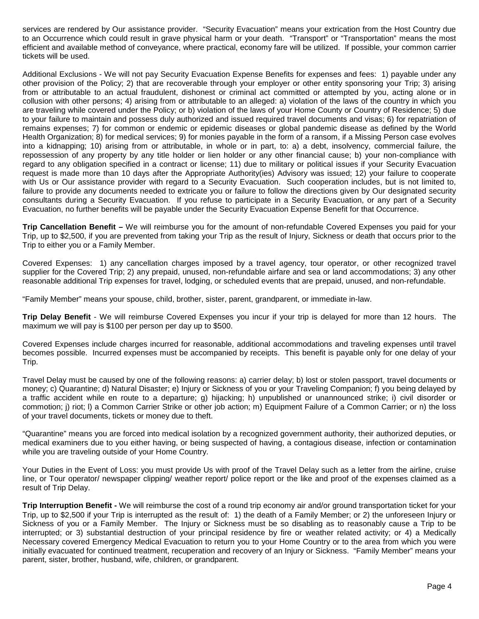services are rendered by Our assistance provider. "Security Evacuation" means your extrication from the Host Country due to an Occurrence which could result in grave physical harm or your death. "Transport" or "Transportation" means the most efficient and available method of conveyance, where practical, economy fare will be utilized. If possible, your common carrier tickets will be used.

Additional Exclusions - We will not pay Security Evacuation Expense Benefits for expenses and fees: 1) payable under any other provision of the Policy; 2) that are recoverable through your employer or other entity sponsoring your Trip; 3) arising from or attributable to an actual fraudulent, dishonest or criminal act committed or attempted by you, acting alone or in collusion with other persons; 4) arising from or attributable to an alleged: a) violation of the laws of the country in which you are traveling while covered under the Policy; or b) violation of the laws of your Home County or Country of Residence; 5) due to your failure to maintain and possess duly authorized and issued required travel documents and visas; 6) for repatriation of remains expenses; 7) for common or endemic or epidemic diseases or global pandemic disease as defined by the World Health Organization; 8) for medical services; 9) for monies payable in the form of a ransom, if a Missing Person case evolves into a kidnapping; 10) arising from or attributable, in whole or in part, to: a) a debt, insolvency, commercial failure, the repossession of any property by any title holder or lien holder or any other financial cause; b) your non-compliance with regard to any obligation specified in a contract or license; 11) due to military or political issues if your Security Evacuation request is made more than 10 days after the Appropriate Authority(ies) Advisory was issued; 12) your failure to cooperate with Us or Our assistance provider with regard to a Security Evacuation. Such cooperation includes, but is not limited to, failure to provide any documents needed to extricate you or failure to follow the directions given by Our designated security consultants during a Security Evacuation. If you refuse to participate in a Security Evacuation, or any part of a Security Evacuation, no further benefits will be payable under the Security Evacuation Expense Benefit for that Occurrence.

**Trip Cancellation Benefit –** We will reimburse you for the amount of non-refundable Covered Expenses you paid for your Trip, up to \$2,500, if you are prevented from taking your Trip as the result of Injury, Sickness or death that occurs prior to the Trip to either you or a Family Member.

Covered Expenses: 1) any cancellation charges imposed by a travel agency, tour operator, or other recognized travel supplier for the Covered Trip; 2) any prepaid, unused, non-refundable airfare and sea or land accommodations; 3) any other reasonable additional Trip expenses for travel, lodging, or scheduled events that are prepaid, unused, and non-refundable.

"Family Member" means your spouse, child, brother, sister, parent, grandparent, or immediate in-law.

**Trip Delay Benefit** - We will reimburse Covered Expenses you incur if your trip is delayed for more than 12 hours. The maximum we will pay is \$100 per person per day up to \$500.

Covered Expenses include charges incurred for reasonable, additional accommodations and traveling expenses until travel becomes possible. Incurred expenses must be accompanied by receipts. This benefit is payable only for one delay of your Trip.

Travel Delay must be caused by one of the following reasons: a) carrier delay; b) lost or stolen passport, travel documents or money; c) Quarantine; d) Natural Disaster; e) Injury or Sickness of you or your Traveling Companion; f) you being delayed by a traffic accident while en route to a departure; g) hijacking; h) unpublished or unannounced strike; i) civil disorder or commotion; j) riot; l) a Common Carrier Strike or other job action; m) Equipment Failure of a Common Carrier; or n) the loss of your travel documents, tickets or money due to theft.

"Quarantine" means you are forced into medical isolation by a recognized government authority, their authorized deputies, or medical examiners due to you either having, or being suspected of having, a contagious disease, infection or contamination while you are traveling outside of your Home Country.

Your Duties in the Event of Loss: you must provide Us with proof of the Travel Delay such as a letter from the airline, cruise line, or Tour operator/ newspaper clipping/ weather report/ police report or the like and proof of the expenses claimed as a result of Trip Delay.

**Trip Interruption Benefit -** We will reimburse the cost of a round trip economy air and/or ground transportation ticket for your Trip, up to \$2,500 if your Trip is interrupted as the result of: 1) the death of a Family Member; or 2) the unforeseen Injury or Sickness of you or a Family Member. The Injury or Sickness must be so disabling as to reasonably cause a Trip to be interrupted; or 3) substantial destruction of your principal residence by fire or weather related activity; or 4) a Medically Necessary covered Emergency Medical Evacuation to return you to your Home Country or to the area from which you were initially evacuated for continued treatment, recuperation and recovery of an Injury or Sickness. "Family Member" means your parent, sister, brother, husband, wife, children, or grandparent.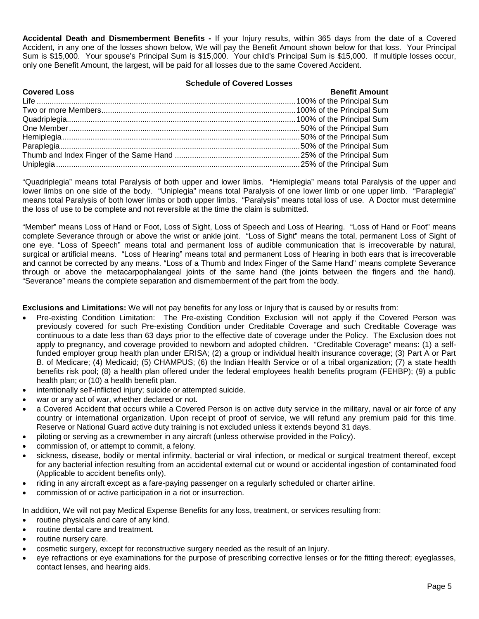**Accidental Death and Dismemberment Benefits -** If your Injury results, within 365 days from the date of a Covered Accident, in any one of the losses shown below, We will pay the Benefit Amount shown below for that loss. Your Principal Sum is \$15,000. Your spouse's Principal Sum is \$15,000. Your child's Principal Sum is \$15,000. If multiple losses occur, only one Benefit Amount, the largest, will be paid for all losses due to the same Covered Accident.

#### **Schedule of Covered Losses**

| <b>Covered Loss</b> | <b>Benefit Amount</b> |
|---------------------|-----------------------|
|                     |                       |
|                     |                       |
|                     |                       |
|                     |                       |
|                     |                       |
|                     |                       |
|                     |                       |
|                     |                       |

"Quadriplegia" means total Paralysis of both upper and lower limbs. "Hemiplegia" means total Paralysis of the upper and lower limbs on one side of the body. "Uniplegia" means total Paralysis of one lower limb or one upper limb. "Paraplegia" means total Paralysis of both lower limbs or both upper limbs. "Paralysis" means total loss of use. A Doctor must determine the loss of use to be complete and not reversible at the time the claim is submitted.

"Member" means Loss of Hand or Foot, Loss of Sight, Loss of Speech and Loss of Hearing. "Loss of Hand or Foot" means complete Severance through or above the wrist or ankle joint. "Loss of Sight" means the total, permanent Loss of Sight of one eye. "Loss of Speech" means total and permanent loss of audible communication that is irrecoverable by natural, surgical or artificial means. "Loss of Hearing" means total and permanent Loss of Hearing in both ears that is irrecoverable and cannot be corrected by any means. "Loss of a Thumb and Index Finger of the Same Hand" means complete Severance through or above the metacarpophalangeal joints of the same hand (the joints between the fingers and the hand). "Severance" means the complete separation and dismemberment of the part from the body.

**Exclusions and Limitations:** We will not pay benefits for any loss or Injury that is caused by or results from:

- Pre-existing Condition Limitation: The Pre-existing Condition Exclusion will not apply if the Covered Person was previously covered for such Pre-existing Condition under Creditable Coverage and such Creditable Coverage was continuous to a date less than 63 days prior to the effective date of coverage under the Policy. The Exclusion does not apply to pregnancy, and coverage provided to newborn and adopted children. "Creditable Coverage" means: (1) a selffunded employer group health plan under ERISA; (2) a group or individual health insurance coverage; (3) Part A or Part B. of Medicare; (4) Medicaid; (5) CHAMPUS; (6) the Indian Health Service or of a tribal organization; (7) a state health benefits risk pool; (8) a health plan offered under the federal employees health benefits program (FEHBP); (9) a public health plan; or (10) a health benefit plan.
- intentionally self-inflicted injury; suicide or attempted suicide.
- war or any act of war, whether declared or not.
- a Covered Accident that occurs while a Covered Person is on active duty service in the military, naval or air force of any country or international organization. Upon receipt of proof of service, we will refund any premium paid for this time. Reserve or National Guard active duty training is not excluded unless it extends beyond 31 days.
- piloting or serving as a crewmember in any aircraft (unless otherwise provided in the Policy).
- commission of, or attempt to commit, a felony.
- sickness, disease, bodily or mental infirmity, bacterial or viral infection, or medical or surgical treatment thereof, except for any bacterial infection resulting from an accidental external cut or wound or accidental ingestion of contaminated food (Applicable to accident benefits only).
- riding in any aircraft except as a fare-paying passenger on a regularly scheduled or charter airline.
- commission of or active participation in a riot or insurrection.

In addition, We will not pay Medical Expense Benefits for any loss, treatment, or services resulting from:

- routine physicals and care of any kind.
- routine dental care and treatment.
- routine nursery care.
- cosmetic surgery, except for reconstructive surgery needed as the result of an Injury.
- eye refractions or eye examinations for the purpose of prescribing corrective lenses or for the fitting thereof; eyeglasses, contact lenses, and hearing aids.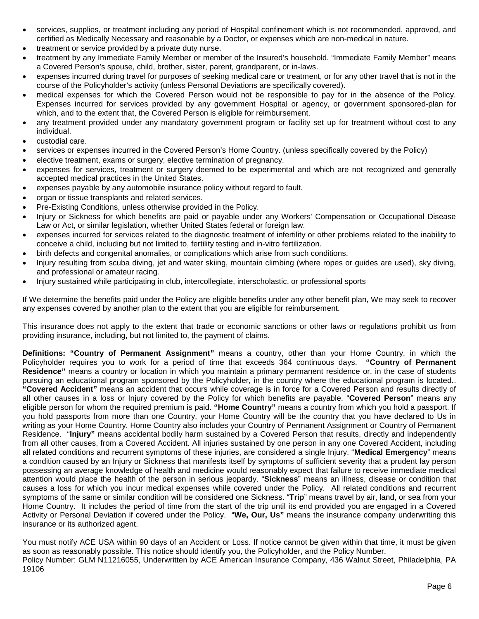- services, supplies, or treatment including any period of Hospital confinement which is not recommended, approved, and certified as Medically Necessary and reasonable by a Doctor, or expenses which are non-medical in nature.
- treatment or service provided by a private duty nurse.
- treatment by any Immediate Family Member or member of the Insured's household. "Immediate Family Member" means a Covered Person's spouse, child, brother, sister, parent, grandparent, or in-laws.
- expenses incurred during travel for purposes of seeking medical care or treatment, or for any other travel that is not in the course of the Policyholder's activity (unless Personal Deviations are specifically covered).
- medical expenses for which the Covered Person would not be responsible to pay for in the absence of the Policy. Expenses incurred for services provided by any government Hospital or agency, or government sponsored-plan for which, and to the extent that, the Covered Person is eligible for reimbursement.
- any treatment provided under any mandatory government program or facility set up for treatment without cost to any individual.
- custodial care.
- services or expenses incurred in the Covered Person's Home Country. (unless specifically covered by the Policy)
- elective treatment, exams or surgery; elective termination of pregnancy.
- expenses for services, treatment or surgery deemed to be experimental and which are not recognized and generally accepted medical practices in the United States.
- expenses payable by any automobile insurance policy without regard to fault.
- organ or tissue transplants and related services.
- Pre-Existing Conditions, unless otherwise provided in the Policy.
- Injury or Sickness for which benefits are paid or payable under any Workers' Compensation or Occupational Disease Law or Act, or similar legislation, whether United States federal or foreign law.
- expenses incurred for services related to the diagnostic treatment of infertility or other problems related to the inability to conceive a child, including but not limited to, fertility testing and in-vitro fertilization.
- birth defects and congenital anomalies, or complications which arise from such conditions.
- Injury resulting from scuba diving, jet and water skiing, mountain climbing (where ropes or guides are used), sky diving, and professional or amateur racing.
- Injury sustained while participating in club, intercollegiate, interscholastic, or professional sports

If We determine the benefits paid under the Policy are eligible benefits under any other benefit plan, We may seek to recover any expenses covered by another plan to the extent that you are eligible for reimbursement.

This insurance does not apply to the extent that trade or economic sanctions or other laws or regulations prohibit us from providing insurance, including, but not limited to, the payment of claims.

**Definitions: "Country of Permanent Assignment"** means a country, other than your Home Country, in which the Policyholder requires you to work for a period of time that exceeds 364 continuous days. **"Country of Permanent Residence"** means a country or location in which you maintain a primary permanent residence or, in the case of students pursuing an educational program sponsored by the Policyholder, in the country where the educational program is located.. **"Covered Accident"** means an accident that occurs while coverage is in force for a Covered Person and results directly of all other causes in a loss or Injury covered by the Policy for which benefits are payable. "**Covered Person**" means any eligible person for whom the required premium is paid. **"Home Country"** means a country from which you hold a passport. If you hold passports from more than one Country, your Home Country will be the country that you have declared to Us in writing as your Home Country. Home Country also includes your Country of Permanent Assignment or Country of Permanent Residence. "**Injury"** means accidental bodily harm sustained by a Covered Person that results, directly and independently from all other causes, from a Covered Accident. All injuries sustained by one person in any one Covered Accident, including all related conditions and recurrent symptoms of these injuries, are considered a single Injury. "**Medical Emergency**" means a condition caused by an Injury or Sickness that manifests itself by symptoms of sufficient severity that a prudent lay person possessing an average knowledge of health and medicine would reasonably expect that failure to receive immediate medical attention would place the health of the person in serious jeopardy. "**Sickness**" means an illness, disease or condition that causes a loss for which you incur medical expenses while covered under the Policy. All related conditions and recurrent symptoms of the same or similar condition will be considered one Sickness. "**Trip**" means travel by air, land, or sea from your Home Country. It includes the period of time from the start of the trip until its end provided you are engaged in a Covered Activity or Personal Deviation if covered under the Policy. "**We, Our, Us"** means the insurance company underwriting this insurance or its authorized agent.

You must notify ACE USA within 90 days of an Accident or Loss. If notice cannot be given within that time, it must be given as soon as reasonably possible. This notice should identify you, the Policyholder, and the Policy Number. Policy Number: GLM N11216055, Underwritten by ACE American Insurance Company, 436 Walnut Street, Philadelphia, PA 19106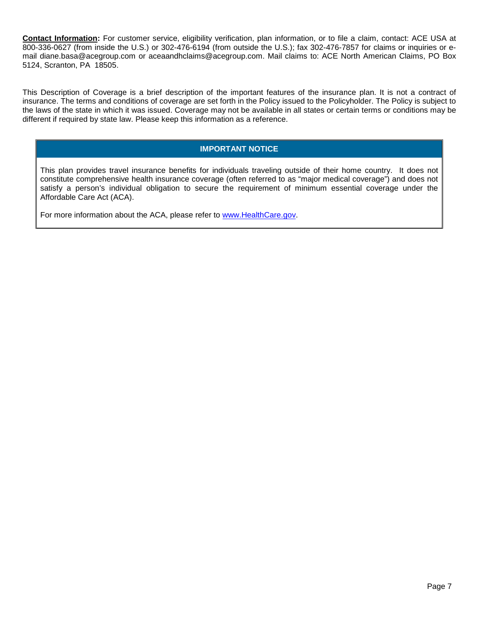**Contact Information:** For customer service, eligibility verification, plan information, or to file a claim, contact: ACE USA at 800-336-0627 (from inside the U.S.) or 302-476-6194 (from outside the U.S.); fax 302-476-7857 for claims or inquiries or email diane.basa@acegroup.com or aceaandhclaims@acegroup.com. Mail claims to: ACE North American Claims, PO Box 5124, Scranton, PA 18505.

This Description of Coverage is a brief description of the important features of the insurance plan. It is not a contract of insurance. The terms and conditions of coverage are set forth in the Policy issued to the Policyholder. The Policy is subject to the laws of the state in which it was issued. Coverage may not be available in all states or certain terms or conditions may be different if required by state law. Please keep this information as a reference.

# **IMPORTANT NOTICE**

This plan provides travel insurance benefits for individuals traveling outside of their home country. It does not constitute comprehensive health insurance coverage (often referred to as "major medical coverage") and does not satisfy a person's individual obligation to secure the requirement of minimum essential coverage under the Affordable Care Act (ACA).

For more information about the ACA, please refer to [www.HealthCare.gov.](http://www.healthcare.gov/)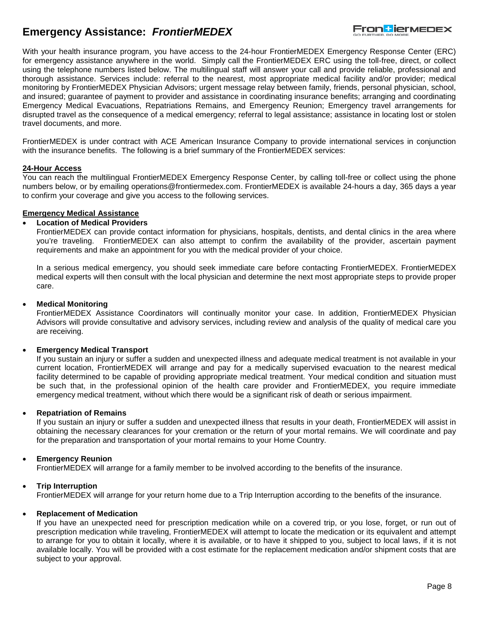# **Emergency Assistance:** *FrontierMEDEX*



With your health insurance program, you have access to the 24-hour FrontierMEDEX Emergency Response Center (ERC) for emergency assistance anywhere in the world. Simply call the FrontierMEDEX ERC using the toll-free, direct, or collect using the telephone numbers listed below. The multilingual staff will answer your call and provide reliable, professional and thorough assistance. Services include: referral to the nearest, most appropriate medical facility and/or provider; medical monitoring by FrontierMEDEX Physician Advisors; urgent message relay between family, friends, personal physician, school, and insured; guarantee of payment to provider and assistance in coordinating insurance benefits; arranging and coordinating Emergency Medical Evacuations, Repatriations Remains, and Emergency Reunion; Emergency travel arrangements for disrupted travel as the consequence of a medical emergency; referral to legal assistance; assistance in locating lost or stolen travel documents, and more.

FrontierMEDEX is under contract with ACE American Insurance Company to provide international services in conjunction with the insurance benefits. The following is a brief summary of the FrontierMEDEX services:

#### **24-Hour Access**

You can reach the multilingual FrontierMEDEX Emergency Response Center, by calling toll-free or collect using the phone numbers below, or by emailing operations@frontiermedex.com. FrontierMEDEX is available 24-hours a day, 365 days a year to confirm your coverage and give you access to the following services.

#### **Emergency Medical Assistance**

# • **Location of Medical Providers**

FrontierMEDEX can provide contact information for physicians, hospitals, dentists, and dental clinics in the area where you're traveling. FrontierMEDEX can also attempt to confirm the availability of the provider, ascertain payment requirements and make an appointment for you with the medical provider of your choice.

In a serious medical emergency, you should seek immediate care before contacting FrontierMEDEX. FrontierMEDEX medical experts will then consult with the local physician and determine the next most appropriate steps to provide proper care.

# • **Medical Monitoring**

FrontierMEDEX Assistance Coordinators will continually monitor your case. In addition, FrontierMEDEX Physician Advisors will provide consultative and advisory services, including review and analysis of the quality of medical care you are receiving.

#### • **Emergency Medical Transport**

If you sustain an injury or suffer a sudden and unexpected illness and adequate medical treatment is not available in your current location, FrontierMEDEX will arrange and pay for a medically supervised evacuation to the nearest medical facility determined to be capable of providing appropriate medical treatment. Your medical condition and situation must be such that, in the professional opinion of the health care provider and FrontierMEDEX, you require immediate emergency medical treatment, without which there would be a significant risk of death or serious impairment.

#### • **Repatriation of Remains**

If you sustain an injury or suffer a sudden and unexpected illness that results in your death, FrontierMEDEX will assist in obtaining the necessary clearances for your cremation or the return of your mortal remains. We will coordinate and pay for the preparation and transportation of your mortal remains to your Home Country.

#### • **Emergency Reunion**

FrontierMEDEX will arrange for a family member to be involved according to the benefits of the insurance.

#### • **Trip Interruption**

FrontierMEDEX will arrange for your return home due to a Trip Interruption according to the benefits of the insurance.

#### • **Replacement of Medication**

If you have an unexpected need for prescription medication while on a covered trip, or you lose, forget, or run out of prescription medication while traveling, FrontierMEDEX will attempt to locate the medication or its equivalent and attempt to arrange for you to obtain it locally, where it is available, or to have it shipped to you, subject to local laws, if it is not available locally. You will be provided with a cost estimate for the replacement medication and/or shipment costs that are subject to your approval.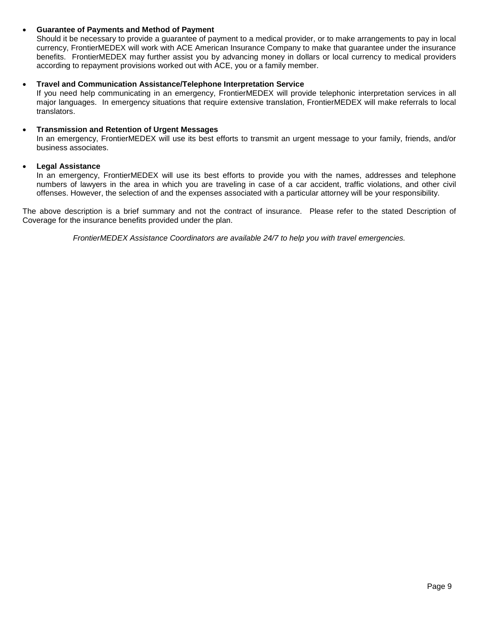# • **Guarantee of Payments and Method of Payment**

Should it be necessary to provide a guarantee of payment to a medical provider, or to make arrangements to pay in local currency, FrontierMEDEX will work with ACE American Insurance Company to make that guarantee under the insurance benefits. FrontierMEDEX may further assist you by advancing money in dollars or local currency to medical providers according to repayment provisions worked out with ACE, you or a family member.

### • **Travel and Communication Assistance/Telephone Interpretation Service**

If you need help communicating in an emergency, FrontierMEDEX will provide telephonic interpretation services in all major languages. In emergency situations that require extensive translation, FrontierMEDEX will make referrals to local translators.

#### • **Transmission and Retention of Urgent Messages**

In an emergency, FrontierMEDEX will use its best efforts to transmit an urgent message to your family, friends, and/or business associates.

#### • **Legal Assistance**

In an emergency, FrontierMEDEX will use its best efforts to provide you with the names, addresses and telephone numbers of lawyers in the area in which you are traveling in case of a car accident, traffic violations, and other civil offenses. However, the selection of and the expenses associated with a particular attorney will be your responsibility.

The above description is a brief summary and not the contract of insurance. Please refer to the stated Description of Coverage for the insurance benefits provided under the plan.

*FrontierMEDEX Assistance Coordinators are available 24/7 to help you with travel emergencies.*